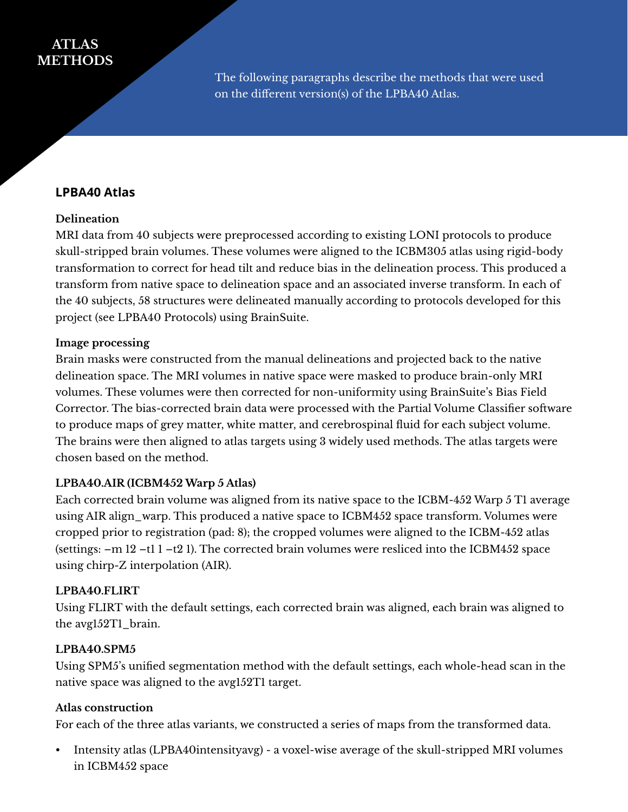# **ATLAS METHODS**

The following paragraphs describe the methods that were used on the different version(s) of the LPBA40 Atlas.

## **LPBA40 Atlas**

#### **Delineation**

MRI data from 40 subjects were preprocessed according to existing LONI protocols to produce skull-stripped brain volumes. These volumes were aligned to the ICBM305 atlas using rigid-body transformation to correct for head tilt and reduce bias in the delineation process. This produced a transform from native space to delineation space and an associated inverse transform. In each of the 40 subjects, 58 structures were delineated manually according to protocols developed for this project (see LPBA40 Protocols) using BrainSuite.

#### **Image processing**

Brain masks were constructed from the manual delineations and projected back to the native delineation space. The MRI volumes in native space were masked to produce brain-only MRI volumes. These volumes were then corrected for non-uniformity using BrainSuite's Bias Field Corrector. The bias-corrected brain data were processed with the Partial Volume Classifier software to produce maps of grey matter, white matter, and cerebrospinal fluid for each subject volume. The brains were then aligned to atlas targets using 3 widely used methods. The atlas targets were chosen based on the method.

#### **LPBA40.AIR (ICBM452 Warp 5 Atlas)**

Each corrected brain volume was aligned from its native space to the ICBM-452 Warp 5 T1 average using AIR align\_warp. This produced a native space to ICBM452 space transform. Volumes were cropped prior to registration (pad: 8); the cropped volumes were aligned to the ICBM-452 atlas (settings:  $-m 12 - t1 1 - t2 1$ ). The corrected brain volumes were resliced into the ICBM452 space using chirp-Z interpolation (AIR).

#### **LPBA40.FLIRT**

Using FLIRT with the default settings, each corrected brain was aligned, each brain was aligned to the avg152T1\_brain.

#### **LPBA40.SPM5**

Using SPM5's unified segmentation method with the default settings, each whole-head scan in the native space was aligned to the avg152T1 target.

#### **Atlas construction**

For each of the three atlas variants, we constructed a series of maps from the transformed data.

• Intensity atlas (LPBA40intensityavg) - a voxel-wise average of the skull-stripped MRI volumes in ICBM452 space